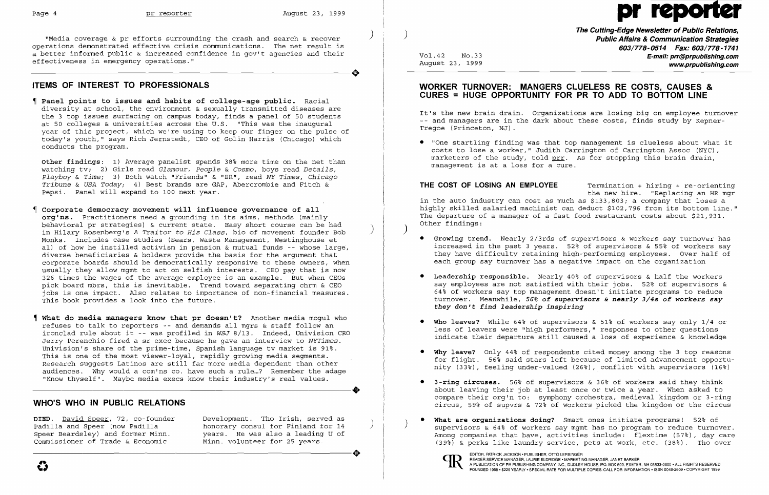**The Cutting-Edge Newsletter of Public Relations,** ) ) "Media coverage & pr efforts surrounding the crash and search & recover **Public Affairs & Communication Strategies 603/778-0514 Fax: 603/778-1741**  Vol.42 No.33 **E-mail: prr@prpublishing.com**<br>August 23, 1999 **E-mail: prr@prpublishing.com** www.prpublishing.com

operations demonstrated effective crisis communications. The net result is a better informed public & increased confidence in gov't agencies and their<br>effectiveness in emergency operations." effectiveness in emergency operations."

# **ITEMS OF INTEREST TO PROFESSIONALS**

- **Corporate democracy movement will influence governance of all**  org<sup>'ns.</sup> Practitioners need a grounding in its aims, methods (mainly behavioral pr strategies) & current state. Easy short course can be had in Hilary Rosenberg's *A Traitor* to *His Class,* bio of movement founder Bob ) Monks. Includes case studies (Sears, Waste Management, Westinghouse et all of how he instilled activism in pension & mutual funds -- whose large, diverse beneficiaries & holders provide the basis for the argument that corporate boards should be democratically responsive to these owners, when usually they allow mgmt to act on selfish interests. CEO pay that is now 326 times the wages of the average employee is an example. But when CEOs pick board mbrs, this is inevitable. Trend toward separating chrm & CEO jobs is one impact. Also relates to importance of non-financial measures. This book provides a look into the future.
- **What do media managers know that pr doesn't?** Another media mogul who refuses to talk to reporters -- and demands all mgrs & staff follow an ironclad rule about it -- was profiled in *WSJ* 8/13. Indeed, Univision CEO Jerry Perenchio fired a sr exec because he gave an interview to *NYTimes.*  Univision's share of the prime-time, Spanish language tv market is 91%. This is one of the most viewer-loyal, rapidly growing media segments. Research suggests Latinos are still far more media dependent than other audiences. Why would a com'ns co. have such a rule...? Remember the adage "Know thyself". Maybe media execs know their industry's real values. audiences. Why would a com'ns co. have such a rule...? Remember the adage "Know thyself". Maybe media execs know their industry's real values.

 **Panel points to issues and habits of college-age public.** Racial diversity at school, the environment  $\&$  sexually transmitted diseases are the 3 top issues surfacing on campus today, finds a panel of 50 students at 50 colleges & universities across the U.S. "This was the inaugural year of this project, which we're using to keep our finger on the pulse of today's youth," says Rich Jernstedt, CEO of Golin Harris (Chicago) which conducts the program.

**other findings:** 1) Average panelist spends 38% more time on the net than watching tv; 2) Girls read *Glamour, People* & *Cosmo,* boys read *Details, playboy* & *Time;* 3) Both watch "Friends" & "ER" , read NY *Times, Chicago Tribune* & *USA Today;* 4) Best brands are GAP, Abercrombie and Fitch & Pepsi. Panel will expand to 100 next year.

**DIED.** David Speer, 72, co-founder Development. Tho Irish, served as Padilla and Speer (now Padilla honorary consul for Finland for 14<br>Speer Beardslev) and former Minn. Wears. He was also a leading U of years. He was also a leading U of<br>Minn. volunteer for 25 years.

• "One startling finding was that top management is clueless about what it costs to lose a worker," Judith Carrington of Carrington Assoc (NYC), marketers of the study, told prr. As for stopping this brain drain,

- each group say turnover has a negative impact on the organization
- **• Leadership responsible.** Nearly 40% of supervisors & half the workers *they* **don't** *find leadership inspiring*
- **• Who leaves?** While 64% of supervisors & 51% of workers say only 1/4 or
- 
- **• 3-ring circuses.** 56% of supervisors & 36% of workers said they think
- Speer Beardsley) and former Minn. years. He was also a leading U of<br>Commissioner of Trade & Economic Minn. volunteer for 25 years.<br>
Commissioner of Trade & Economic Minn. volunteer for 25 years.<br>
COMENTRICK JACKSON, PUBLIS



about leaving their job at least once or twice a year. When asked to compare their org'n to: symphony orchestra, medieval kingdom or 3-ring circus, 59% of supvrs & 72% of workers picked the kingdom or the circus

## **WHO'S WHO IN PUBLIC RELATIONS**

Commissioner of Trade & Economic

**What are organizations doing?** Smart ones initiate programs! 52% of supervisors & 64% of workers say mgmt has no program to reduce turnover. Among companies that have, activities include: flextime (57%), day care (39%) & perks like laundry service, pets at work, etc. (38%). Tho over

READER SERVICE MANAGER, LAURIE ELDRIDGE • MARKETING MANAGER, JANET BARKER<br>A PUBLICATION OF PR PUBLISHING COMPANY, INC., DUDLEY HOUSE, P.O. BOX 600, EXETER, NH 03833-0600 • ALL RIGHTS RESERVED FOURDER SERVICE MANAGER, LAURIE ELDRIDGE • MARKETING MANAGER, JANET BARKER<br>A PUBLICATION OF PR PUBLISHING COMPANY, INC., DUDLEY HOUSE, P.O. BOX 600, EXETER, NH 03833-0600 • ALL RIGHTS RESERVED<br>FOUNDED 1958 • \$225 YEARLY • FOUNDED 1958' \$225 YEARLY· SPECIAL RATE FOR MULTIPLE COPIES: CALL FOR INFORMATION' ISSN 0048-2609' COPYRIGHT 1999

# Page 4 pr reporter August 23, 1999

# **WORKER TURNOVER: MANGERS CLUELESS RE COSTS, CAUSES & CURES = HUGE OPPORTUNITY FOR PR TO ADD TO BOTTOM LINE**

It's the new brain drain. Organizations are losing big on employee turnover -- and managers are in the dark about these costs, finds study by Kepner-Tregoe (Princeton, NJ).

management is at a loss for a cure.

**THE COST OF LOSING AN EMPLOYEE** Termination + hiring + re-orienting the new hire. "Replacing an HR mgr in the auto industry can cost as much as \$133,803; a company that loses a highly skilled salaried machinist can deduct \$102,796 from its bottom line." The departure of a manager of a fast food restaurant costs about \$21,931. Other findings: )

**• Growing trend.** Nearly 2/3rds of supervisors & workers say turnover has increased in the past 3 years. 52% of supervisors & 55% of workers say they have difficulty retaining high-performing employees. Over half of

say employees are not satisfied with their jobs. 52% of supervisors & 64% of workers say top management doesn't initiate programs to reduce turnover. Meanwhile, **56%** *of supervisors* **&** *nearly 3/4s of workers say* 

less of leavers were "high performers," responses to other questions indicate their departure still caused a loss of experience & knowledge

**• Why leave?** Only 44% of respondents cited money among the 3 top reasons for flight. 56% said stars left because of limited advancement opportunity (33%), feeling under-valued (26%), conflict with supervisors (16%)